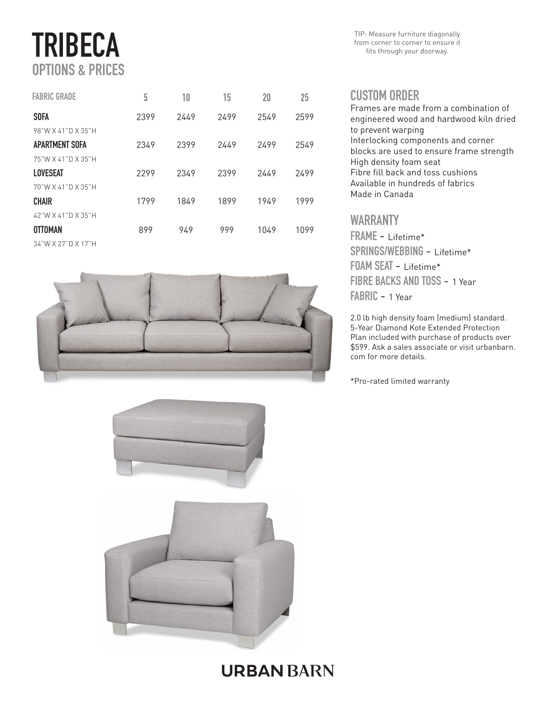# TRIBECA OPTIONS & PRICES

| <b>FABRIC GRADE</b> | 5    | 10   | 15   | 20   | 25   |
|---------------------|------|------|------|------|------|
| <b>SOFA</b>         | 2399 | 2449 | 2499 | 2549 | 2599 |
| 98"W X 41"D X 35"H  |      |      |      |      |      |
| APARTMENT SOFA      | 2349 | 2399 | 2449 | 2499 | 2549 |
| 75"W X 41"D X 35"H  |      |      |      |      |      |
| LOVESEAT            | 2299 | 2349 | 2399 | 2449 | 2499 |
| 70"W X 41"D X 35"H  |      |      |      |      |      |
| <b>CHAIR</b>        | 1799 | 1849 | 1899 | 1949 | 1999 |
| 42"W X 41"D X 35"H  |      |      |      |      |      |
| <b>OTTOMAN</b>      | 899  | 949  | 999  | 1049 | 1099 |
| 34"W X 27"D X 17"H  |      |      |      |      |      |







TIP: Measure furniture diagonally from corner to corner to ensure it fits through your doorway.

#### **CUSTOM ORDER**

Frames are made from a combination of engineered wood and hardwood kiln dried to prevent warping Interlocking components and corner blocks are used to ensure frame strength High density foam seat Fibre fill back and toss cushions Available in hundreds of fabrics Made in Canada

#### WARRANTY

FRAME - Lifetime\* SPRINGS/WEBBING - Lifetime\* FOAM SEAT - Lifetime\* FIBRE BACKS AND TOSS - 1 Year FABRIC - 1 Year

2.0 lb high density foam (medium) standard. 5-Year Diamond Kote Extended Protection Plan included with purchase of products over \$599. Ask a sales associate or visit urbanbarn. com for more details.

\*Pro-rated limited warranty

### **URBAN BARN**